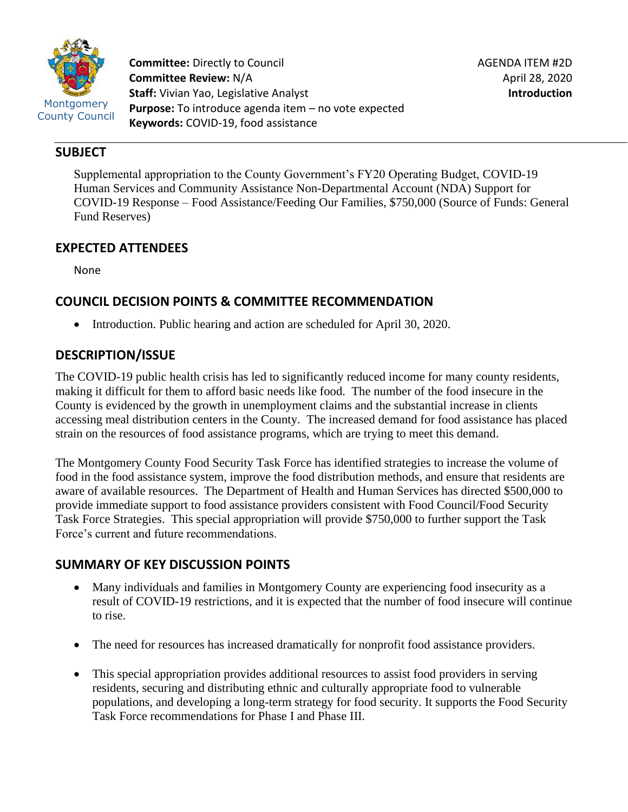

**Committee:** Directly to Council **Committee Review:** N/A **Staff:** Vivian Yao, Legislative Analyst **Purpose:** To introduce agenda item – no vote expected **Keywords:** COVID-19, food assistance

#### **SUBJECT**

Supplemental appropriation to the County Government's FY20 Operating Budget, COVID-19 Human Services and Community Assistance Non-Departmental Account (NDA) Support for COVID-19 Response – Food Assistance/Feeding Our Families, \$750,000 (Source of Funds: General Fund Reserves)

# **EXPECTED ATTENDEES**

None

# **COUNCIL DECISION POINTS & COMMITTEE RECOMMENDATION**

• Introduction. Public hearing and action are scheduled for April 30, 2020.

# **DESCRIPTION/ISSUE**

The COVID-19 public health crisis has led to significantly reduced income for many county residents, making it difficult for them to afford basic needs like food. The number of the food insecure in the County is evidenced by the growth in unemployment claims and the substantial increase in clients accessing meal distribution centers in the County. The increased demand for food assistance has placed strain on the resources of food assistance programs, which are trying to meet this demand.

The Montgomery County Food Security Task Force has identified strategies to increase the volume of food in the food assistance system, improve the food distribution methods, and ensure that residents are aware of available resources. The Department of Health and Human Services has directed \$500,000 to provide immediate support to food assistance providers consistent with Food Council/Food Security Task Force Strategies. This special appropriation will provide \$750,000 to further support the Task Force's current and future recommendations.

# **SUMMARY OF KEY DISCUSSION POINTS**

- Many individuals and families in Montgomery County are experiencing food insecurity as a result of COVID-19 restrictions, and it is expected that the number of food insecure will continue to rise.
- The need for resources has increased dramatically for nonprofit food assistance providers.
- This special appropriation provides additional resources to assist food providers in serving residents, securing and distributing ethnic and culturally appropriate food to vulnerable populations, and developing a long-term strategy for food security. It supports the Food Security Task Force recommendations for Phase I and Phase III.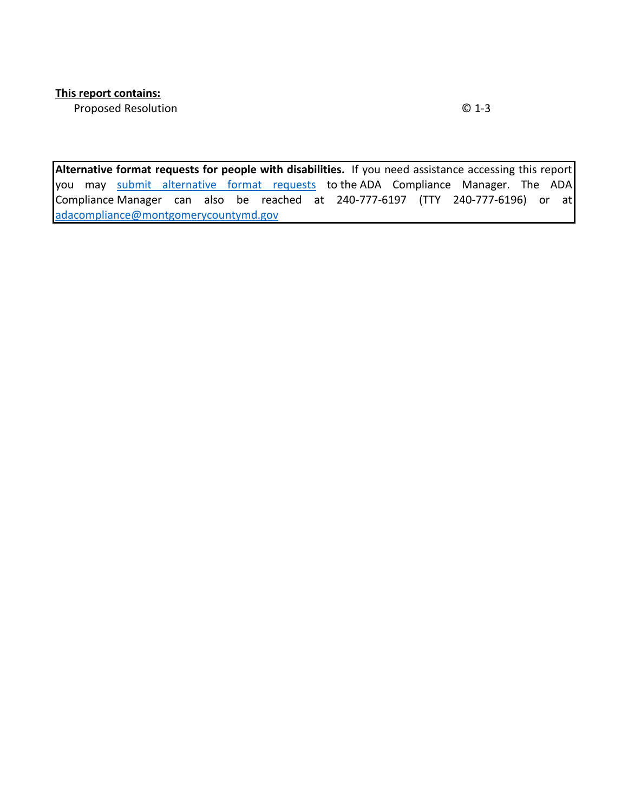Proposed Resolution **C** 1-3

**Alternative format requests for people with disabilities.** If you need assistance accessing this report you may [submit alternative format requests](https://gcc01.safelinks.protection.outlook.com/?url=http%3A%2F%2Fwww2.montgomerycountymd.gov%2Fmcgportalapps%2FAccessibilityForm.aspx&data=02%7C01%7Csandra.marin%40montgomerycountymd.gov%7C79d44e803a8846df027008d6ad4e4d1b%7C6e01b1f9b1e54073ac97778069a0ad64%7C0%7C0%7C636886950086244453&sdata=AT2lwLz22SWBJ8c92gXfspY8lQVeGCrUbqSPzpYheB0%3D&reserved=0) to the ADA Compliance Manager. The ADA Compliance Manager can also be reached at 240-777-6197 (TTY 240-777-6196) or at [adacompliance@montgomerycountymd.gov](mailto:adacompliance@montgomerycountymd.gov)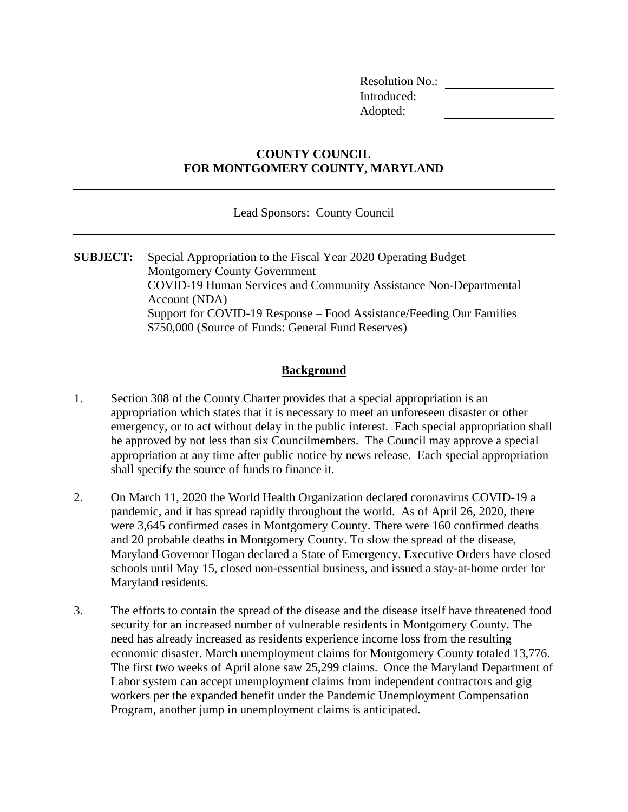Resolution No.: Introduced: Adopted:

#### **COUNTY COUNCIL FOR MONTGOMERY COUNTY, MARYLAND**

Lead Sponsors: County Council

**SUBJECT:** Special Appropriation to the Fiscal Year 2020 Operating Budget Montgomery County Government COVID-19 Human Services and Community Assistance Non-Departmental Account (NDA) Support for COVID-19 Response – Food Assistance/Feeding Our Families \$750,000 (Source of Funds: General Fund Reserves)

#### **Background**

- 1. Section 308 of the County Charter provides that a special appropriation is an appropriation which states that it is necessary to meet an unforeseen disaster or other emergency, or to act without delay in the public interest. Each special appropriation shall be approved by not less than six Councilmembers. The Council may approve a special appropriation at any time after public notice by news release. Each special appropriation shall specify the source of funds to finance it.
- 2. On March 11, 2020 the World Health Organization declared coronavirus COVID-19 a pandemic, and it has spread rapidly throughout the world. As of April 26, 2020, there were 3,645 confirmed cases in Montgomery County. There were 160 confirmed deaths and 20 probable deaths in Montgomery County. To slow the spread of the disease, Maryland Governor Hogan declared a State of Emergency. Executive Orders have closed schools until May 15, closed non-essential business, and issued a stay-at-home order for Maryland residents.
- 3. The efforts to contain the spread of the disease and the disease itself have threatened food security for an increased number of vulnerable residents in Montgomery County. The need has already increased as residents experience income loss from the resulting economic disaster. March unemployment claims for Montgomery County totaled 13,776. The first two weeks of April alone saw 25,299 claims. Once the Maryland Department of Labor system can accept unemployment claims from independent contractors and gig workers per the expanded benefit under the Pandemic Unemployment Compensation Program, another jump in unemployment claims is anticipated.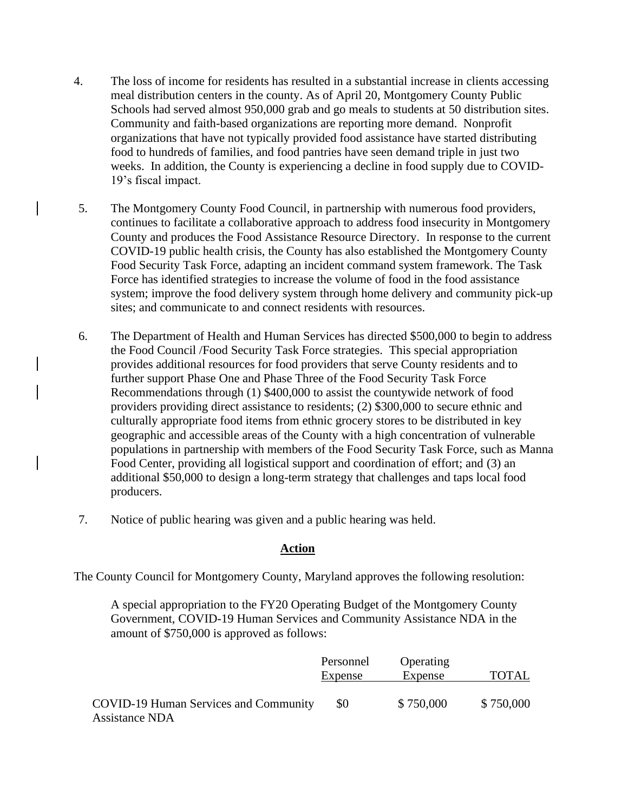- 4. The loss of income for residents has resulted in a substantial increase in clients accessing meal distribution centers in the county. As of April 20, Montgomery County Public Schools had served almost 950,000 grab and go meals to students at 50 distribution sites. Community and faith-based organizations are reporting more demand. Nonprofit organizations that have not typically provided food assistance have started distributing food to hundreds of families, and food pantries have seen demand triple in just two weeks. In addition, the County is experiencing a decline in food supply due to COVID-19's fiscal impact.
- 5. The Montgomery County Food Council, in partnership with numerous food providers, continues to facilitate a collaborative approach to address food insecurity in Montgomery County and produces the Food Assistance Resource Directory. In response to the current COVID-19 public health crisis, the County has also established the Montgomery County Food Security Task Force, adapting an incident command system framework. The Task Force has identified strategies to increase the volume of food in the food assistance system; improve the food delivery system through home delivery and community pick-up sites; and communicate to and connect residents with resources.
- 6. The Department of Health and Human Services has directed \$500,000 to begin to address the Food Council /Food Security Task Force strategies. This special appropriation provides additional resources for food providers that serve County residents and to further support Phase One and Phase Three of the Food Security Task Force Recommendations through (1) \$400,000 to assist the countywide network of food providers providing direct assistance to residents; (2) \$300,000 to secure ethnic and culturally appropriate food items from ethnic grocery stores to be distributed in key geographic and accessible areas of the County with a high concentration of vulnerable populations in partnership with members of the Food Security Task Force, such as Manna Food Center, providing all logistical support and coordination of effort; and (3) an additional \$50,000 to design a long-term strategy that challenges and taps local food producers.
- 7. Notice of public hearing was given and a public hearing was held.

#### **Action**

The County Council for Montgomery County, Maryland approves the following resolution:

A special appropriation to the FY20 Operating Budget of the Montgomery County Government, COVID-19 Human Services and Community Assistance NDA in the amount of \$750,000 is approved as follows:

|                                       | Personnel | Operating |              |
|---------------------------------------|-----------|-----------|--------------|
|                                       | Expense   | Expense   | <b>TOTAL</b> |
| COVID-19 Human Services and Community | \$0       | \$750,000 | \$750,000    |
| <b>Assistance NDA</b>                 |           |           |              |